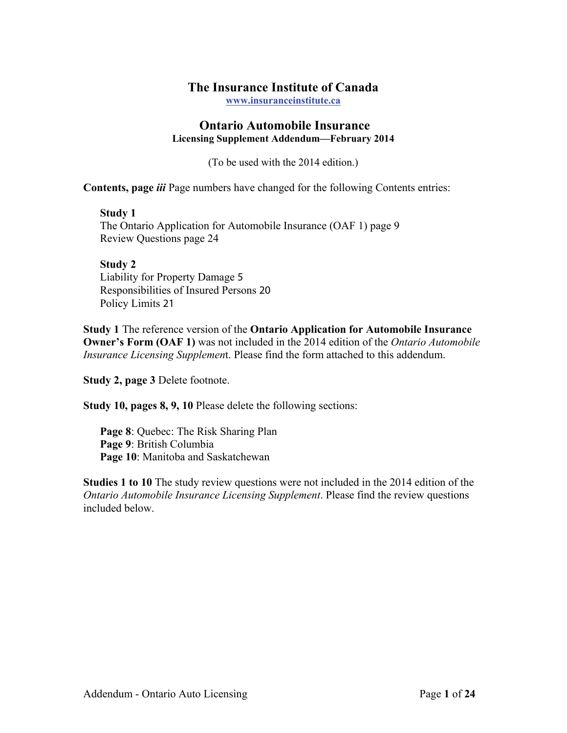### **The Insurance Institute of Canada**

**www.insuranceinstitute.ca**

#### **Ontario Automobile Insurance Licensing Supplement Addendum—February 2014**

(To be used with the 2014 edition.)

**Contents, page** *iii* Page numbers have changed for the following Contents entries:

#### **Study 1**

The Ontario Application for Automobile Insurance (OAF 1) page 9 Review Questions page 24

### **Study 2**  Liability for Property Damage 5

Responsibilities of Insured Persons 20 Policy Limits 21

**Study 1** The reference version of the **Ontario Application for Automobile Insurance Owner's Form (OAF 1)** was not included in the 2014 edition of the *Ontario Automobile Insurance Licensing Supplemen*t. Please find the form attached to this addendum.

**Study 2, page 3** Delete footnote.

**Study 10, pages 8, 9, 10** Please delete the following sections:

**Page 8**: Quebec: The Risk Sharing Plan **Page 9**: British Columbia **Page 10**: Manitoba and Saskatchewan

**Studies 1 to 10** The study review questions were not included in the 2014 edition of the *Ontario Automobile Insurance Licensing Supplement*. Please find the review questions included below.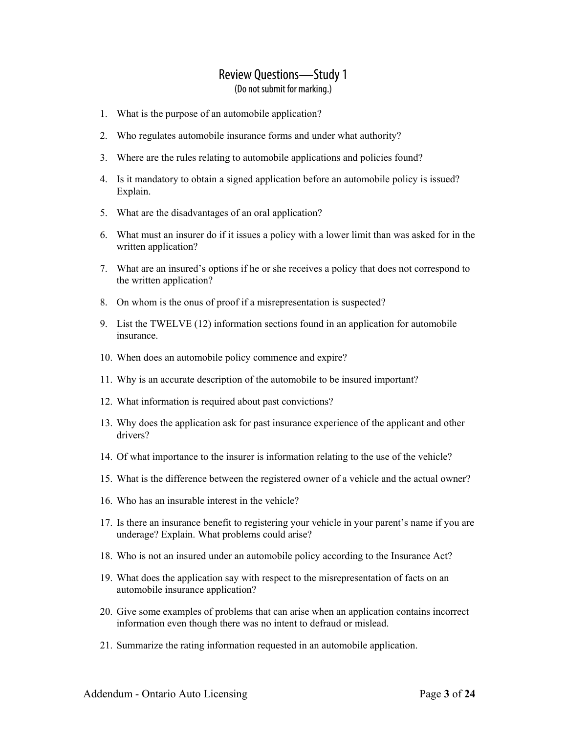- 1. What is the purpose of an automobile application?
- 2. Who regulates automobile insurance forms and under what authority?
- 3. Where are the rules relating to automobile applications and policies found?
- 4. Is it mandatory to obtain a signed application before an automobile policy is issued? Explain.
- 5. What are the disadvantages of an oral application?
- 6. What must an insurer do if it issues a policy with a lower limit than was asked for in the written application?
- 7. What are an insured's options if he or she receives a policy that does not correspond to the written application?
- 8. On whom is the onus of proof if a misrepresentation is suspected?
- 9. List the TWELVE (12) information sections found in an application for automobile insurance.
- 10. When does an automobile policy commence and expire?
- 11. Why is an accurate description of the automobile to be insured important?
- 12. What information is required about past convictions?
- 13. Why does the application ask for past insurance experience of the applicant and other drivers?
- 14. Of what importance to the insurer is information relating to the use of the vehicle?
- 15. What is the difference between the registered owner of a vehicle and the actual owner?
- 16. Who has an insurable interest in the vehicle?
- 17. Is there an insurance benefit to registering your vehicle in your parent's name if you are underage? Explain. What problems could arise?
- 18. Who is not an insured under an automobile policy according to the Insurance Act?
- 19. What does the application say with respect to the misrepresentation of facts on an automobile insurance application?
- 20. Give some examples of problems that can arise when an application contains incorrect information even though there was no intent to defraud or mislead.
- 21. Summarize the rating information requested in an automobile application.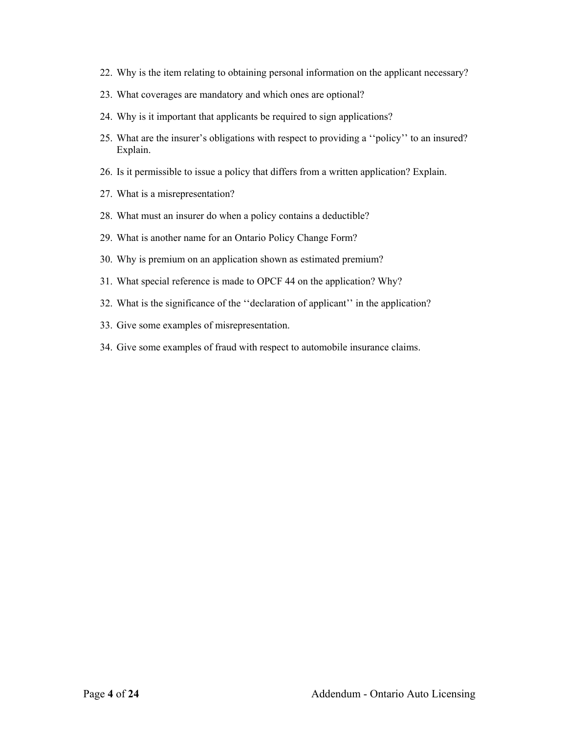- 22. Why is the item relating to obtaining personal information on the applicant necessary?
- 23. What coverages are mandatory and which ones are optional?
- 24. Why is it important that applicants be required to sign applications?
- 25. What are the insurer's obligations with respect to providing a ''policy'' to an insured? Explain.
- 26. Is it permissible to issue a policy that differs from a written application? Explain.
- 27. What is a misrepresentation?
- 28. What must an insurer do when a policy contains a deductible?
- 29. What is another name for an Ontario Policy Change Form?
- 30. Why is premium on an application shown as estimated premium?
- 31. What special reference is made to OPCF 44 on the application? Why?
- 32. What is the significance of the ''declaration of applicant'' in the application?
- 33. Give some examples of misrepresentation.
- 34. Give some examples of fraud with respect to automobile insurance claims.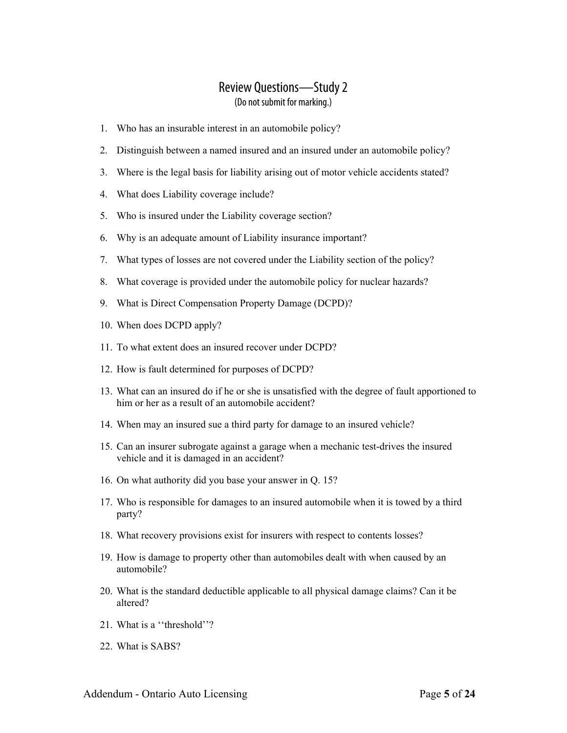### Review Questions—Study 2 (Do not submit for marking.)

- 1. Who has an insurable interest in an automobile policy?
- 2. Distinguish between a named insured and an insured under an automobile policy?
- 3. Where is the legal basis for liability arising out of motor vehicle accidents stated?
- 4. What does Liability coverage include?
- 5. Who is insured under the Liability coverage section?
- 6. Why is an adequate amount of Liability insurance important?
- 7. What types of losses are not covered under the Liability section of the policy?
- 8. What coverage is provided under the automobile policy for nuclear hazards?
- 9. What is Direct Compensation Property Damage (DCPD)?
- 10. When does DCPD apply?
- 11. To what extent does an insured recover under DCPD?
- 12. How is fault determined for purposes of DCPD?
- 13. What can an insured do if he or she is unsatisfied with the degree of fault apportioned to him or her as a result of an automobile accident?
- 14. When may an insured sue a third party for damage to an insured vehicle?
- 15. Can an insurer subrogate against a garage when a mechanic test-drives the insured vehicle and it is damaged in an accident?
- 16. On what authority did you base your answer in Q. 15?
- 17. Who is responsible for damages to an insured automobile when it is towed by a third party?
- 18. What recovery provisions exist for insurers with respect to contents losses?
- 19. How is damage to property other than automobiles dealt with when caused by an automobile?
- 20. What is the standard deductible applicable to all physical damage claims? Can it be altered?
- 21. What is a ''threshold''?
- 22. What is SABS?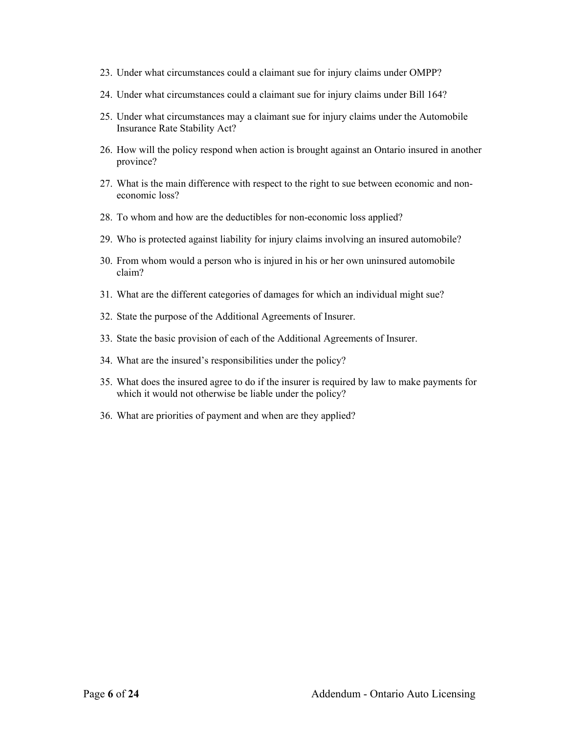- 23. Under what circumstances could a claimant sue for injury claims under OMPP?
- 24. Under what circumstances could a claimant sue for injury claims under Bill 164?
- 25. Under what circumstances may a claimant sue for injury claims under the Automobile Insurance Rate Stability Act?
- 26. How will the policy respond when action is brought against an Ontario insured in another province?
- 27. What is the main difference with respect to the right to sue between economic and noneconomic loss?
- 28. To whom and how are the deductibles for non-economic loss applied?
- 29. Who is protected against liability for injury claims involving an insured automobile?
- 30. From whom would a person who is injured in his or her own uninsured automobile claim?
- 31. What are the different categories of damages for which an individual might sue?
- 32. State the purpose of the Additional Agreements of Insurer.
- 33. State the basic provision of each of the Additional Agreements of Insurer.
- 34. What are the insured's responsibilities under the policy?
- 35. What does the insured agree to do if the insurer is required by law to make payments for which it would not otherwise be liable under the policy?
- 36. What are priorities of payment and when are they applied?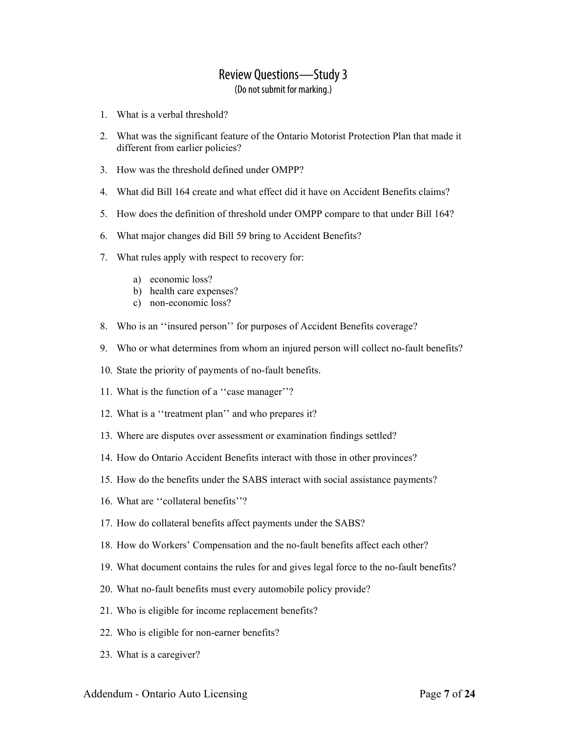- 1. What is a verbal threshold?
- 2. What was the significant feature of the Ontario Motorist Protection Plan that made it different from earlier policies?
- 3. How was the threshold defined under OMPP?
- 4. What did Bill 164 create and what effect did it have on Accident Benefits claims?
- 5. How does the definition of threshold under OMPP compare to that under Bill 164?
- 6. What major changes did Bill 59 bring to Accident Benefits?
- 7. What rules apply with respect to recovery for:
	- a) economic loss?
	- b) health care expenses?
	- c) non-economic loss?
- 8. Who is an ''insured person'' for purposes of Accident Benefits coverage?
- 9. Who or what determines from whom an injured person will collect no-fault benefits?
- 10. State the priority of payments of no-fault benefits.
- 11. What is the function of a ''case manager''?
- 12. What is a ''treatment plan'' and who prepares it?
- 13. Where are disputes over assessment or examination findings settled?
- 14. How do Ontario Accident Benefits interact with those in other provinces?
- 15. How do the benefits under the SABS interact with social assistance payments?
- 16. What are ''collateral benefits''?
- 17. How do collateral benefits affect payments under the SABS?
- 18. How do Workers' Compensation and the no-fault benefits affect each other?
- 19. What document contains the rules for and gives legal force to the no-fault benefits?
- 20. What no-fault benefits must every automobile policy provide?
- 21. Who is eligible for income replacement benefits?
- 22. Who is eligible for non-earner benefits?
- 23. What is a caregiver?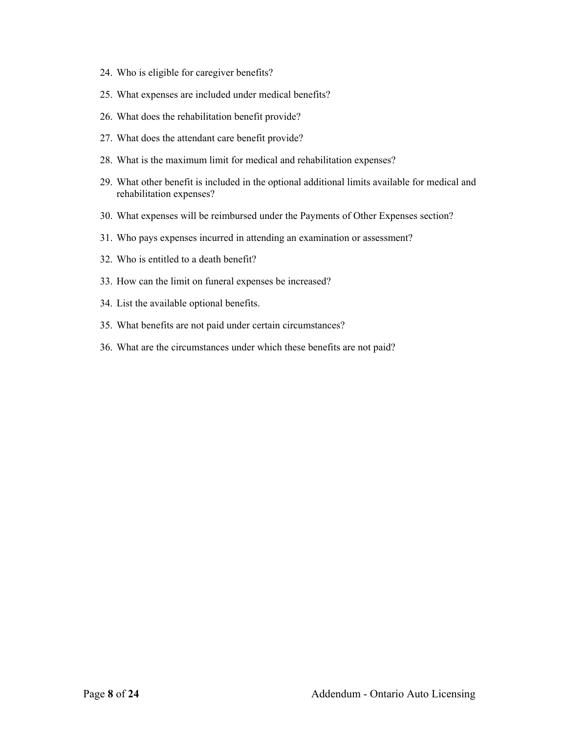- 24. Who is eligible for caregiver benefits?
- 25. What expenses are included under medical benefits?
- 26. What does the rehabilitation benefit provide?
- 27. What does the attendant care benefit provide?
- 28. What is the maximum limit for medical and rehabilitation expenses?
- 29. What other benefit is included in the optional additional limits available for medical and rehabilitation expenses?
- 30. What expenses will be reimbursed under the Payments of Other Expenses section?
- 31. Who pays expenses incurred in attending an examination or assessment?
- 32. Who is entitled to a death benefit?
- 33. How can the limit on funeral expenses be increased?
- 34. List the available optional benefits.
- 35. What benefits are not paid under certain circumstances?
- 36. What are the circumstances under which these benefits are not paid?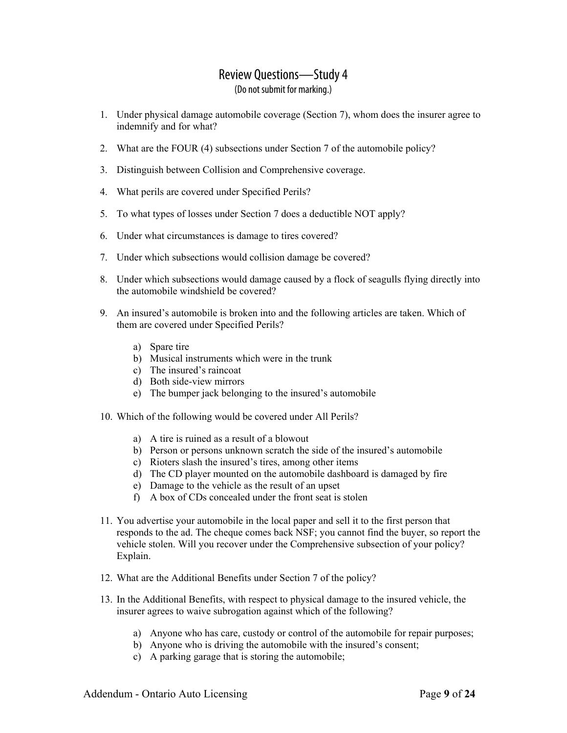- 1. Under physical damage automobile coverage (Section 7), whom does the insurer agree to indemnify and for what?
- 2. What are the FOUR (4) subsections under Section 7 of the automobile policy?
- 3. Distinguish between Collision and Comprehensive coverage.
- 4. What perils are covered under Specified Perils?
- 5. To what types of losses under Section 7 does a deductible NOT apply?
- 6. Under what circumstances is damage to tires covered?
- 7. Under which subsections would collision damage be covered?
- 8. Under which subsections would damage caused by a flock of seagulls flying directly into the automobile windshield be covered?
- 9. An insured's automobile is broken into and the following articles are taken. Which of them are covered under Specified Perils?
	- a) Spare tire
	- b) Musical instruments which were in the trunk
	- c) The insured's raincoat
	- d) Both side-view mirrors
	- e) The bumper jack belonging to the insured's automobile
- 10. Which of the following would be covered under All Perils?
	- a) A tire is ruined as a result of a blowout
	- b) Person or persons unknown scratch the side of the insured's automobile
	- c) Rioters slash the insured's tires, among other items
	- d) The CD player mounted on the automobile dashboard is damaged by fire
	- e) Damage to the vehicle as the result of an upset
	- f) A box of CDs concealed under the front seat is stolen
- 11. You advertise your automobile in the local paper and sell it to the first person that responds to the ad. The cheque comes back NSF; you cannot find the buyer, so report the vehicle stolen. Will you recover under the Comprehensive subsection of your policy? Explain.
- 12. What are the Additional Benefits under Section 7 of the policy?
- 13. In the Additional Benefits, with respect to physical damage to the insured vehicle, the insurer agrees to waive subrogation against which of the following?
	- a) Anyone who has care, custody or control of the automobile for repair purposes;
	- b) Anyone who is driving the automobile with the insured's consent;
	- c) A parking garage that is storing the automobile;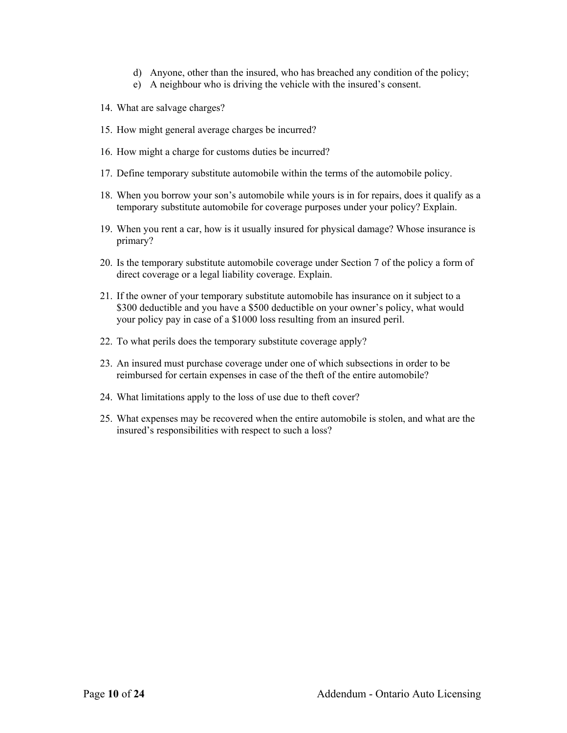- d) Anyone, other than the insured, who has breached any condition of the policy;
- e) A neighbour who is driving the vehicle with the insured's consent.
- 14. What are salvage charges?
- 15. How might general average charges be incurred?
- 16. How might a charge for customs duties be incurred?
- 17. Define temporary substitute automobile within the terms of the automobile policy.
- 18. When you borrow your son's automobile while yours is in for repairs, does it qualify as a temporary substitute automobile for coverage purposes under your policy? Explain.
- 19. When you rent a car, how is it usually insured for physical damage? Whose insurance is primary?
- 20. Is the temporary substitute automobile coverage under Section 7 of the policy a form of direct coverage or a legal liability coverage. Explain.
- 21. If the owner of your temporary substitute automobile has insurance on it subject to a \$300 deductible and you have a \$500 deductible on your owner's policy, what would your policy pay in case of a \$1000 loss resulting from an insured peril.
- 22. To what perils does the temporary substitute coverage apply?
- 23. An insured must purchase coverage under one of which subsections in order to be reimbursed for certain expenses in case of the theft of the entire automobile?
- 24. What limitations apply to the loss of use due to theft cover?
- 25. What expenses may be recovered when the entire automobile is stolen, and what are the insured's responsibilities with respect to such a loss?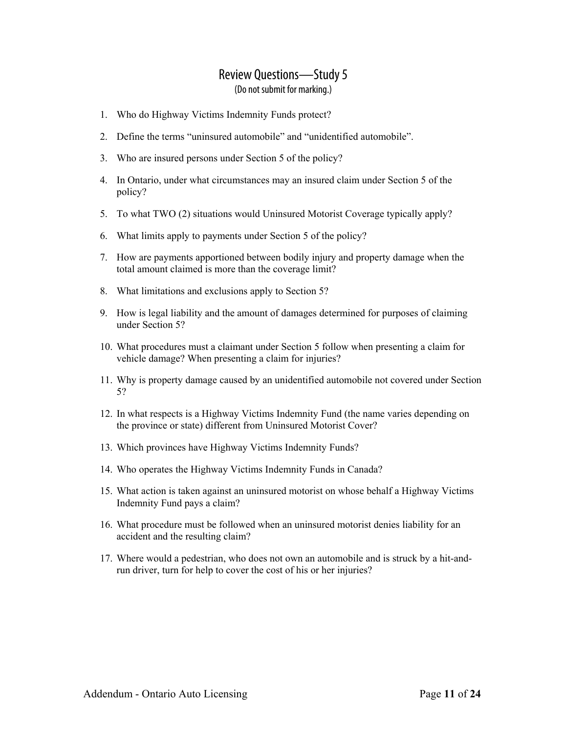- 1. Who do Highway Victims Indemnity Funds protect?
- 2. Define the terms "uninsured automobile" and "unidentified automobile".
- 3. Who are insured persons under Section 5 of the policy?
- 4. In Ontario, under what circumstances may an insured claim under Section 5 of the policy?
- 5. To what TWO (2) situations would Uninsured Motorist Coverage typically apply?
- 6. What limits apply to payments under Section 5 of the policy?
- 7. How are payments apportioned between bodily injury and property damage when the total amount claimed is more than the coverage limit?
- 8. What limitations and exclusions apply to Section 5?
- 9. How is legal liability and the amount of damages determined for purposes of claiming under Section 5?
- 10. What procedures must a claimant under Section 5 follow when presenting a claim for vehicle damage? When presenting a claim for injuries?
- 11. Why is property damage caused by an unidentified automobile not covered under Section 5?
- 12. In what respects is a Highway Victims Indemnity Fund (the name varies depending on the province or state) different from Uninsured Motorist Cover?
- 13. Which provinces have Highway Victims Indemnity Funds?
- 14. Who operates the Highway Victims Indemnity Funds in Canada?
- 15. What action is taken against an uninsured motorist on whose behalf a Highway Victims Indemnity Fund pays a claim?
- 16. What procedure must be followed when an uninsured motorist denies liability for an accident and the resulting claim?
- 17. Where would a pedestrian, who does not own an automobile and is struck by a hit-andrun driver, turn for help to cover the cost of his or her injuries?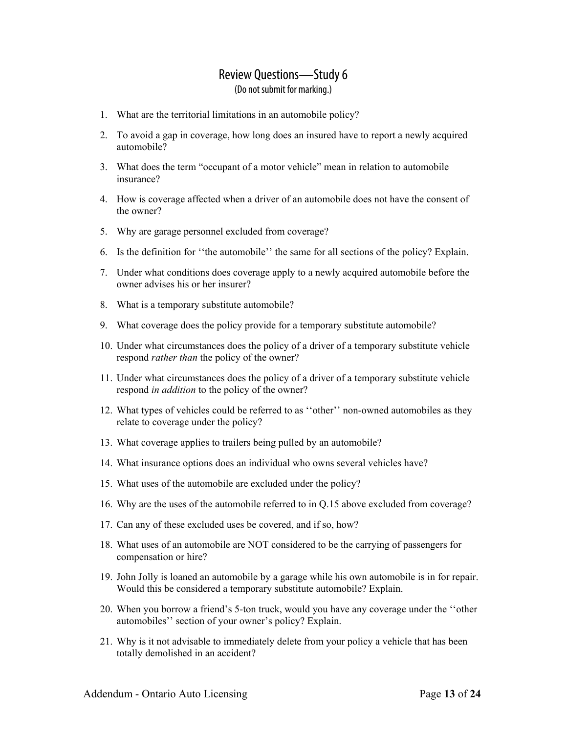- 1. What are the territorial limitations in an automobile policy?
- 2. To avoid a gap in coverage, how long does an insured have to report a newly acquired automobile?
- 3. What does the term "occupant of a motor vehicle" mean in relation to automobile insurance?
- 4. How is coverage affected when a driver of an automobile does not have the consent of the owner?
- 5. Why are garage personnel excluded from coverage?
- 6. Is the definition for ''the automobile'' the same for all sections of the policy? Explain.
- 7. Under what conditions does coverage apply to a newly acquired automobile before the owner advises his or her insurer?
- 8. What is a temporary substitute automobile?
- 9. What coverage does the policy provide for a temporary substitute automobile?
- 10. Under what circumstances does the policy of a driver of a temporary substitute vehicle respond *rather than* the policy of the owner?
- 11. Under what circumstances does the policy of a driver of a temporary substitute vehicle respond *in addition* to the policy of the owner?
- 12. What types of vehicles could be referred to as ''other'' non-owned automobiles as they relate to coverage under the policy?
- 13. What coverage applies to trailers being pulled by an automobile?
- 14. What insurance options does an individual who owns several vehicles have?
- 15. What uses of the automobile are excluded under the policy?
- 16. Why are the uses of the automobile referred to in Q.15 above excluded from coverage?
- 17. Can any of these excluded uses be covered, and if so, how?
- 18. What uses of an automobile are NOT considered to be the carrying of passengers for compensation or hire?
- 19. John Jolly is loaned an automobile by a garage while his own automobile is in for repair. Would this be considered a temporary substitute automobile? Explain.
- 20. When you borrow a friend's 5-ton truck, would you have any coverage under the ''other automobiles'' section of your owner's policy? Explain.
- 21. Why is it not advisable to immediately delete from your policy a vehicle that has been totally demolished in an accident?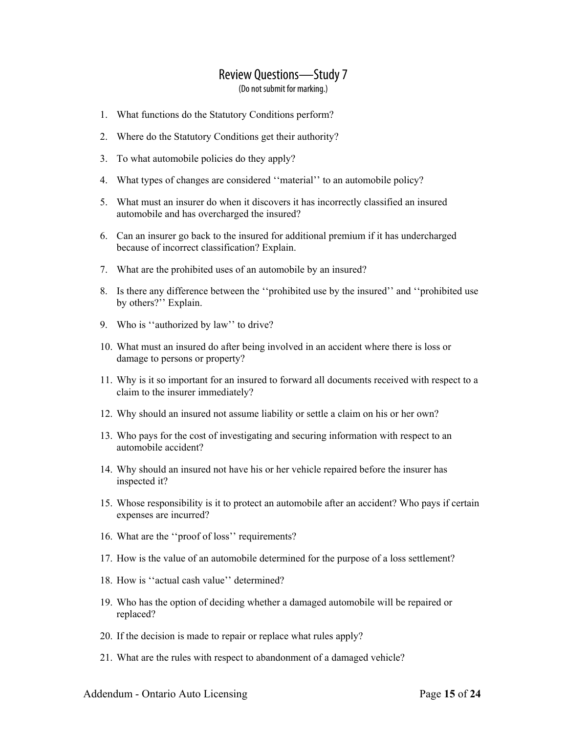- 1. What functions do the Statutory Conditions perform?
- 2. Where do the Statutory Conditions get their authority?
- 3. To what automobile policies do they apply?
- 4. What types of changes are considered ''material'' to an automobile policy?
- 5. What must an insurer do when it discovers it has incorrectly classified an insured automobile and has overcharged the insured?
- 6. Can an insurer go back to the insured for additional premium if it has undercharged because of incorrect classification? Explain.
- 7. What are the prohibited uses of an automobile by an insured?
- 8. Is there any difference between the ''prohibited use by the insured'' and ''prohibited use by others?" Explain.
- 9. Who is ''authorized by law'' to drive?
- 10. What must an insured do after being involved in an accident where there is loss or damage to persons or property?
- 11. Why is it so important for an insured to forward all documents received with respect to a claim to the insurer immediately?
- 12. Why should an insured not assume liability or settle a claim on his or her own?
- 13. Who pays for the cost of investigating and securing information with respect to an automobile accident?
- 14. Why should an insured not have his or her vehicle repaired before the insurer has inspected it?
- 15. Whose responsibility is it to protect an automobile after an accident? Who pays if certain expenses are incurred?
- 16. What are the ''proof of loss'' requirements?
- 17. How is the value of an automobile determined for the purpose of a loss settlement?
- 18. How is ''actual cash value'' determined?
- 19. Who has the option of deciding whether a damaged automobile will be repaired or replaced?
- 20. If the decision is made to repair or replace what rules apply?
- 21. What are the rules with respect to abandonment of a damaged vehicle?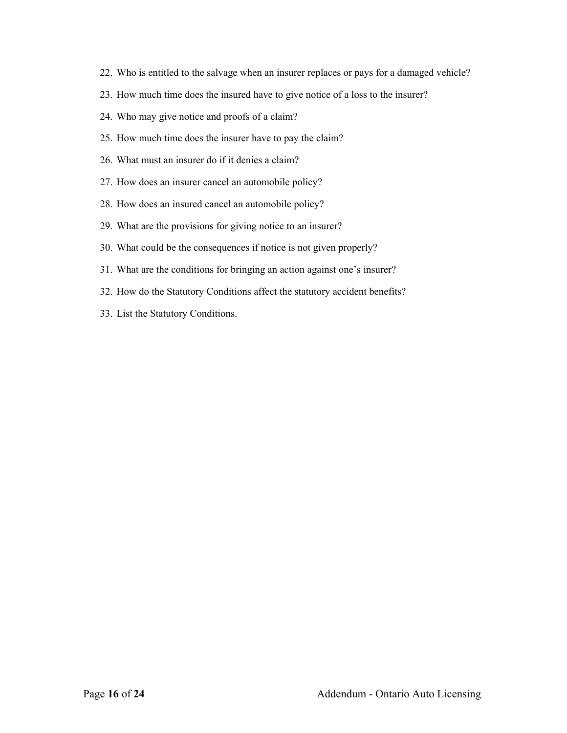- 22. Who is entitled to the salvage when an insurer replaces or pays for a damaged vehicle?
- 23. How much time does the insured have to give notice of a loss to the insurer?
- 24. Who may give notice and proofs of a claim?
- 25. How much time does the insurer have to pay the claim?
- 26. What must an insurer do if it denies a claim?
- 27. How does an insurer cancel an automobile policy?
- 28. How does an insured cancel an automobile policy?
- 29. What are the provisions for giving notice to an insurer?
- 30. What could be the consequences if notice is not given properly?
- 31. What are the conditions for bringing an action against one's insurer?
- 32. How do the Statutory Conditions affect the statutory accident benefits?
- 33. List the Statutory Conditions.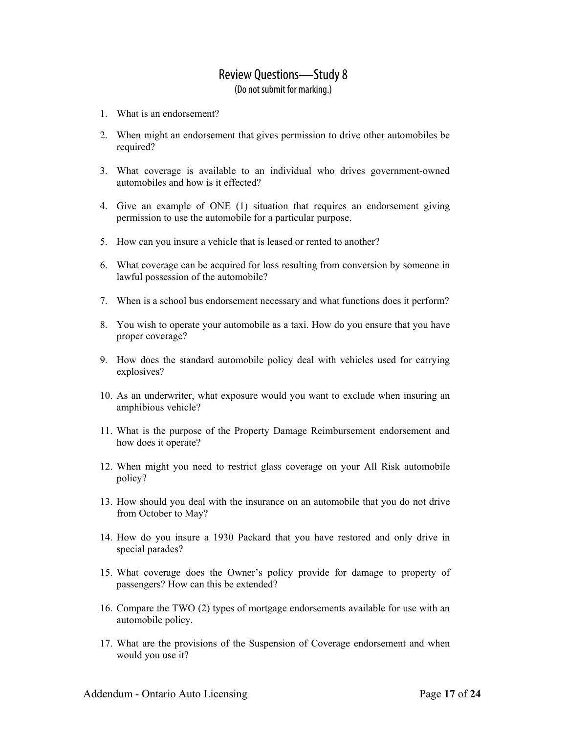- 1. What is an endorsement?
- 2. When might an endorsement that gives permission to drive other automobiles be required?
- 3. What coverage is available to an individual who drives government-owned automobiles and how is it effected?
- 4. Give an example of ONE (1) situation that requires an endorsement giving permission to use the automobile for a particular purpose.
- 5. How can you insure a vehicle that is leased or rented to another?
- 6. What coverage can be acquired for loss resulting from conversion by someone in lawful possession of the automobile?
- 7. When is a school bus endorsement necessary and what functions does it perform?
- 8. You wish to operate your automobile as a taxi. How do you ensure that you have proper coverage?
- 9. How does the standard automobile policy deal with vehicles used for carrying explosives?
- 10. As an underwriter, what exposure would you want to exclude when insuring an amphibious vehicle?
- 11. What is the purpose of the Property Damage Reimbursement endorsement and how does it operate?
- 12. When might you need to restrict glass coverage on your All Risk automobile policy?
- 13. How should you deal with the insurance on an automobile that you do not drive from October to May?
- 14. How do you insure a 1930 Packard that you have restored and only drive in special parades?
- 15. What coverage does the Owner's policy provide for damage to property of passengers? How can this be extended? **11**
- 16. Compare the TWO (2) types of mortgage endorsements available for use with an automobile policy.
- 17. What are the provisions of the Suspension of Coverage endorsement and when would you use it?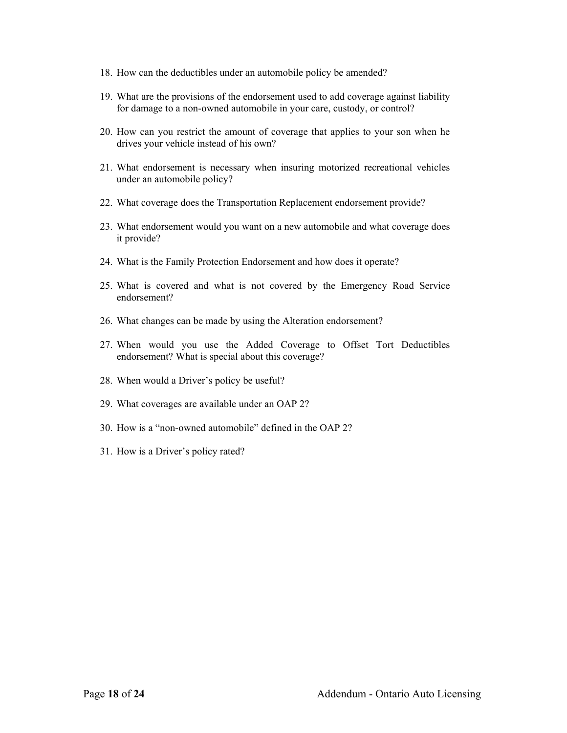- 18. How can the deductibles under an automobile policy be amended?
- 19. What are the provisions of the endorsement used to add coverage against liability for damage to a non-owned automobile in your care, custody, or control?
- 20. How can you restrict the amount of coverage that applies to your son when he drives your vehicle instead of his own?
- 21. What endorsement is necessary when insuring motorized recreational vehicles under an automobile policy?
- 22. What coverage does the Transportation Replacement endorsement provide?
- 23. What endorsement would you want on a new automobile and what coverage does it provide?
- 24. What is the Family Protection Endorsement and how does it operate?
- 25. What is covered and what is not covered by the Emergency Road Service endorsement?
- 26. What changes can be made by using the Alteration endorsement?
- 27. When would you use the Added Coverage to Offset Tort Deductibles endorsement? What is special about this coverage?
- 28. When would a Driver's policy be useful?
- 29. What coverages are available under an OAP 2?
- 30. How is a "non-owned automobile" defined in the OAP 2?
- 31. How is a Driver's policy rated?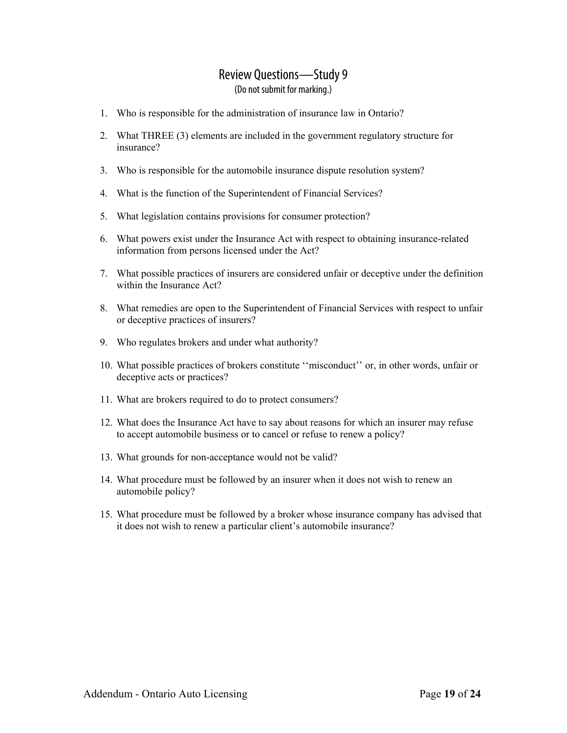- 1. Who is responsible for the administration of insurance law in Ontario?
- 2. What THREE (3) elements are included in the government regulatory structure for insurance?
- 3. Who is responsible for the automobile insurance dispute resolution system?
- 4. What is the function of the Superintendent of Financial Services?
- 5. What legislation contains provisions for consumer protection?
- 6. What powers exist under the Insurance Act with respect to obtaining insurance-related information from persons licensed under the Act?
- 7. What possible practices of insurers are considered unfair or deceptive under the definition within the Insurance Act?
- 8. What remedies are open to the Superintendent of Financial Services with respect to unfair or deceptive practices of insurers?
- 9. Who regulates brokers and under what authority?
- 10. What possible practices of brokers constitute ''misconduct'' or, in other words, unfair or deceptive acts or practices?
- 11. What are brokers required to do to protect consumers?
- 12. What does the Insurance Act have to say about reasons for which an insurer may refuse to accept automobile business or to cancel or refuse to renew a policy?
- 13. What grounds for non-acceptance would not be valid?
- 14. What procedure must be followed by an insurer when it does not wish to renew an automobile policy?
- 15. What procedure must be followed by a broker whose insurance company has advised that it does not wish to renew a particular client's automobile insurance?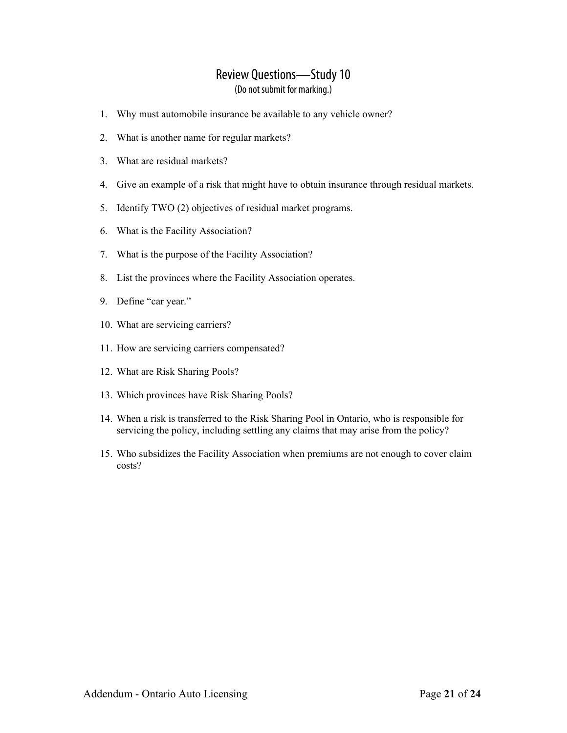- 1. Why must automobile insurance be available to any vehicle owner?
- 2. What is another name for regular markets?
- 3. What are residual markets?
- 4. Give an example of a risk that might have to obtain insurance through residual markets.
- 5. Identify TWO (2) objectives of residual market programs.
- 6. What is the Facility Association?
- 7. What is the purpose of the Facility Association?
- 8. List the provinces where the Facility Association operates.
- 9. Define "car year."
- 10. What are servicing carriers?
- 11. How are servicing carriers compensated?
- 12. What are Risk Sharing Pools?
- 13. Which provinces have Risk Sharing Pools?
- 14. When a risk is transferred to the Risk Sharing Pool in Ontario, who is responsible for servicing the policy, including settling any claims that may arise from the policy?
- 15. Who subsidizes the Facility Association when premiums are not enough to cover claim costs?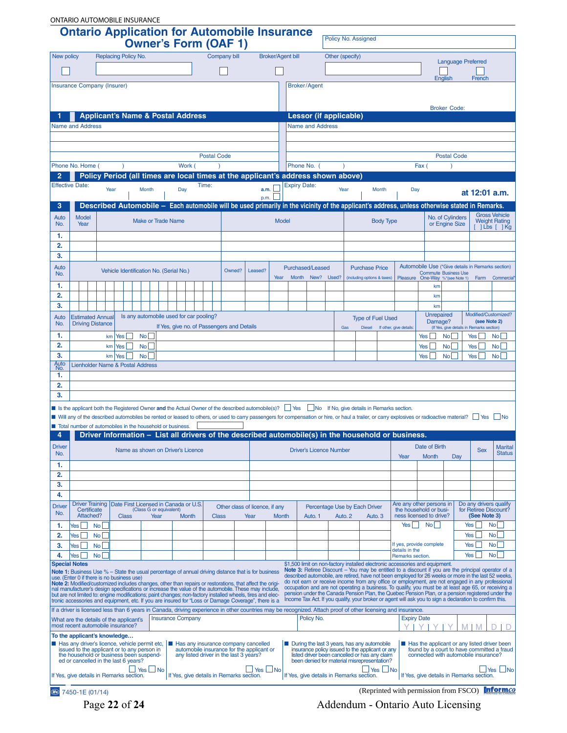| <b>ONTARIO AUTOMOBILE INSURANCE</b><br><b>Ontario Application for Automobile Insurance</b> |                                                                                                                                                                                                                    |                 |                                 |                      |                         |                                              |       |                    |                                                                                     |              |                          |                                        |                                                                                                  |  |                 |                     |                                      |                                                                                                                                                                                                          |                                 |                             |                    |                                           |                                                                                                                                                                                                           |
|--------------------------------------------------------------------------------------------|--------------------------------------------------------------------------------------------------------------------------------------------------------------------------------------------------------------------|-----------------|---------------------------------|----------------------|-------------------------|----------------------------------------------|-------|--------------------|-------------------------------------------------------------------------------------|--------------|--------------------------|----------------------------------------|--------------------------------------------------------------------------------------------------|--|-----------------|---------------------|--------------------------------------|----------------------------------------------------------------------------------------------------------------------------------------------------------------------------------------------------------|---------------------------------|-----------------------------|--------------------|-------------------------------------------|-----------------------------------------------------------------------------------------------------------------------------------------------------------------------------------------------------------|
|                                                                                            |                                                                                                                                                                                                                    |                 |                                 |                      |                         |                                              |       |                    | <b>Owner's Form (OAF 1)</b>                                                         |              |                          |                                        |                                                                                                  |  |                 | Policy No. Assigned |                                      |                                                                                                                                                                                                          |                                 |                             |                    |                                           |                                                                                                                                                                                                           |
| New policy                                                                                 |                                                                                                                                                                                                                    |                 | Replacing Policy No.            |                      |                         |                                              |       |                    | Company bill                                                                        |              | <b>Broker/Agent bill</b> |                                        |                                                                                                  |  | Other (specify) |                     |                                      |                                                                                                                                                                                                          |                                 |                             |                    | <b>Language Preferred</b>                 |                                                                                                                                                                                                           |
|                                                                                            |                                                                                                                                                                                                                    |                 |                                 |                      |                         |                                              |       |                    |                                                                                     |              |                          |                                        |                                                                                                  |  |                 |                     |                                      |                                                                                                                                                                                                          |                                 |                             |                    |                                           |                                                                                                                                                                                                           |
|                                                                                            | <b>Insurance Company (Insurer)</b>                                                                                                                                                                                 |                 |                                 |                      |                         |                                              |       |                    |                                                                                     |              |                          |                                        | <b>Broker/Agent</b>                                                                              |  |                 |                     |                                      |                                                                                                                                                                                                          |                                 | English                     |                    | French                                    |                                                                                                                                                                                                           |
|                                                                                            |                                                                                                                                                                                                                    |                 |                                 |                      |                         |                                              |       |                    |                                                                                     |              |                          |                                        |                                                                                                  |  |                 |                     |                                      |                                                                                                                                                                                                          |                                 |                             |                    |                                           |                                                                                                                                                                                                           |
|                                                                                            |                                                                                                                                                                                                                    |                 |                                 |                      |                         |                                              |       |                    |                                                                                     |              |                          |                                        |                                                                                                  |  |                 |                     |                                      |                                                                                                                                                                                                          |                                 | <b>Broker Code:</b>         |                    |                                           |                                                                                                                                                                                                           |
|                                                                                            |                                                                                                                                                                                                                    |                 |                                 |                      |                         | <b>Applicant's Name &amp; Postal Address</b> |       |                    |                                                                                     |              |                          |                                        | <b>Lessor (if applicable)</b>                                                                    |  |                 |                     |                                      |                                                                                                                                                                                                          |                                 |                             |                    |                                           |                                                                                                                                                                                                           |
|                                                                                            | <b>Name and Address</b>                                                                                                                                                                                            |                 |                                 |                      |                         |                                              |       |                    |                                                                                     |              |                          |                                        | <b>Name and Address</b>                                                                          |  |                 |                     |                                      |                                                                                                                                                                                                          |                                 |                             |                    |                                           |                                                                                                                                                                                                           |
|                                                                                            |                                                                                                                                                                                                                    |                 |                                 |                      |                         |                                              |       |                    |                                                                                     |              |                          |                                        |                                                                                                  |  |                 |                     |                                      |                                                                                                                                                                                                          |                                 |                             |                    |                                           |                                                                                                                                                                                                           |
|                                                                                            |                                                                                                                                                                                                                    |                 |                                 |                      |                         |                                              |       | <b>Postal Code</b> |                                                                                     |              |                          |                                        |                                                                                                  |  |                 |                     |                                      |                                                                                                                                                                                                          |                                 |                             | <b>Postal Code</b> |                                           |                                                                                                                                                                                                           |
|                                                                                            | Phone No. Home (                                                                                                                                                                                                   |                 |                                 |                      |                         | Work (                                       |       |                    |                                                                                     |              |                          |                                        | Phone No. (                                                                                      |  | $\lambda$       |                     |                                      |                                                                                                                                                                                                          | Fax (                           |                             | $\lambda$          |                                           |                                                                                                                                                                                                           |
| 2                                                                                          | <b>Effective Date:</b>                                                                                                                                                                                             |                 |                                 |                      |                         |                                              | Time: |                    | Policy Period (all times are local times at the applicant's address shown above)    |              |                          |                                        | <b>Expiry Date:</b>                                                                              |  |                 |                     |                                      |                                                                                                                                                                                                          |                                 |                             |                    |                                           |                                                                                                                                                                                                           |
|                                                                                            |                                                                                                                                                                                                                    |                 | Year                            | Month                |                         | Day                                          |       |                    |                                                                                     | a.m.<br>p.m. |                          |                                        |                                                                                                  |  | Year            |                     | Month                                |                                                                                                                                                                                                          | Day                             |                             |                    |                                           | at 12:01 a.m.                                                                                                                                                                                             |
| 3                                                                                          |                                                                                                                                                                                                                    |                 |                                 |                      |                         |                                              |       |                    |                                                                                     |              |                          |                                        |                                                                                                  |  |                 |                     |                                      | Described Automobile - Each automobile will be used primarily in the vicinity of the applicant's address, unless otherwise stated in Remarks.                                                            |                                 |                             |                    |                                           |                                                                                                                                                                                                           |
| Auto                                                                                       | <b>Model</b>                                                                                                                                                                                                       |                 |                                 |                      | Make or Trade Name      |                                              |       |                    |                                                                                     |              | <b>Model</b>             |                                        |                                                                                                  |  |                 |                     | <b>Body Type</b>                     |                                                                                                                                                                                                          |                                 | No. of Cylinders            |                    |                                           | <b>Gross Vehicle</b><br><b>Weight Rating</b>                                                                                                                                                              |
| No.<br>1.                                                                                  | Year                                                                                                                                                                                                               |                 |                                 |                      |                         |                                              |       |                    |                                                                                     |              |                          |                                        |                                                                                                  |  |                 |                     |                                      |                                                                                                                                                                                                          |                                 | or Engine Size              |                    | $ Lbs $ $ Kg $                            |                                                                                                                                                                                                           |
| 2.                                                                                         |                                                                                                                                                                                                                    |                 |                                 |                      |                         |                                              |       |                    |                                                                                     |              |                          |                                        |                                                                                                  |  |                 |                     |                                      |                                                                                                                                                                                                          |                                 |                             |                    |                                           |                                                                                                                                                                                                           |
| 3.                                                                                         |                                                                                                                                                                                                                    |                 |                                 |                      |                         |                                              |       |                    |                                                                                     |              |                          |                                        |                                                                                                  |  |                 |                     |                                      |                                                                                                                                                                                                          |                                 |                             |                    |                                           |                                                                                                                                                                                                           |
| Auto                                                                                       |                                                                                                                                                                                                                    |                 |                                 |                      |                         | Vehicle Identification No. (Serial No.)      |       |                    | Owned?                                                                              | Leased?      |                          |                                        | Purchased/Leased                                                                                 |  |                 |                     | <b>Purchase Price</b>                |                                                                                                                                                                                                          |                                 | <b>Commute Business Use</b> |                    |                                           | Automobile Use (*Give details in Remarks section)                                                                                                                                                         |
| No.                                                                                        |                                                                                                                                                                                                                    |                 |                                 |                      |                         |                                              |       |                    |                                                                                     |              | Year                     |                                        | Month New? Used?                                                                                 |  |                 |                     | (including options & taxes)          |                                                                                                                                                                                                          | Pleasure One-Way %*(see Note 1) |                             |                    | Farm                                      | Commercial                                                                                                                                                                                                |
| 1.<br>2.                                                                                   |                                                                                                                                                                                                                    |                 |                                 |                      |                         |                                              |       |                    |                                                                                     |              |                          |                                        |                                                                                                  |  |                 |                     |                                      |                                                                                                                                                                                                          |                                 | km<br>km                    |                    |                                           |                                                                                                                                                                                                           |
| 3.                                                                                         |                                                                                                                                                                                                                    |                 |                                 |                      |                         |                                              |       |                    |                                                                                     |              |                          |                                        |                                                                                                  |  |                 |                     |                                      |                                                                                                                                                                                                          |                                 | km                          |                    |                                           |                                                                                                                                                                                                           |
| Auto                                                                                       | <b>Estimated Annual</b>                                                                                                                                                                                            |                 |                                 |                      |                         | Is any automobile used for car pooling?      |       |                    |                                                                                     |              |                          |                                        |                                                                                                  |  |                 |                     | <b>Type of Fuel Used</b>             |                                                                                                                                                                                                          |                                 | Unrepaired<br>Damage?       |                    |                                           | Modified/Customized?<br>(see Note 2)                                                                                                                                                                      |
| No.                                                                                        | <b>Driving Distance</b>                                                                                                                                                                                            |                 |                                 |                      |                         |                                              |       |                    | If Yes, give no. of Passengers and Details                                          |              |                          |                                        |                                                                                                  |  | Gas             | <b>Diesel</b>       |                                      | If other, give details:                                                                                                                                                                                  |                                 |                             |                    | (If Yes, give details in Remarks section) |                                                                                                                                                                                                           |
| 1.<br>2.                                                                                   |                                                                                                                                                                                                                    |                 | $km$ Yes $\lfloor$<br>Yes<br>km | No<br>N <sub>o</sub> |                         |                                              |       |                    |                                                                                     |              |                          |                                        |                                                                                                  |  |                 |                     |                                      |                                                                                                                                                                                                          | Yes $\lfloor$<br>Yes            | No<br>N <sub>o</sub>        |                    | Yes  <br>$Yes \mid \mid$                  | No<br>$\mathsf{No}$                                                                                                                                                                                       |
| 3.                                                                                         |                                                                                                                                                                                                                    |                 | $km$ Yes                        | No.                  |                         |                                              |       |                    |                                                                                     |              |                          |                                        |                                                                                                  |  |                 |                     |                                      |                                                                                                                                                                                                          | Yes                             | No                          |                    | Yes                                       | No                                                                                                                                                                                                        |
| Auto<br>No.                                                                                | <b>Lienholder Name &amp; Postal Address</b>                                                                                                                                                                        |                 |                                 |                      |                         |                                              |       |                    |                                                                                     |              |                          |                                        |                                                                                                  |  |                 |                     |                                      |                                                                                                                                                                                                          |                                 |                             |                    |                                           |                                                                                                                                                                                                           |
| 1.                                                                                         |                                                                                                                                                                                                                    |                 |                                 |                      |                         |                                              |       |                    |                                                                                     |              |                          |                                        |                                                                                                  |  |                 |                     |                                      |                                                                                                                                                                                                          |                                 |                             |                    |                                           |                                                                                                                                                                                                           |
| 2.<br>3.                                                                                   |                                                                                                                                                                                                                    |                 |                                 |                      |                         |                                              |       |                    |                                                                                     |              |                          |                                        |                                                                                                  |  |                 |                     |                                      |                                                                                                                                                                                                          |                                 |                             |                    |                                           |                                                                                                                                                                                                           |
|                                                                                            |                                                                                                                                                                                                                    |                 |                                 |                      |                         |                                              |       |                    |                                                                                     |              |                          |                                        |                                                                                                  |  |                 |                     |                                      | ■ Is the applicant both the Registered Owner and the Actual Owner of the described automobile(s)? Similarly of the Mo, give details in Remarks section.                                                  |                                 |                             |                    |                                           |                                                                                                                                                                                                           |
|                                                                                            |                                                                                                                                                                                                                    |                 |                                 |                      |                         |                                              |       |                    |                                                                                     |              |                          |                                        |                                                                                                  |  |                 |                     |                                      | ■ Will any of the described automobiles be rented or leased to others, or used to carry passengers for compensation or hire, or haul a trailer, or carry explosives or radioactive material? Ses No      |                                 |                             |                    |                                           |                                                                                                                                                                                                           |
| 4                                                                                          | Total number of automobiles in the household or business.                                                                                                                                                          |                 |                                 |                      |                         |                                              |       |                    |                                                                                     |              |                          |                                        |                                                                                                  |  |                 |                     |                                      | Driver Information - List all drivers of the described automobile(s) in the household or business.                                                                                                       |                                 |                             |                    |                                           |                                                                                                                                                                                                           |
| <b>Driver</b>                                                                              |                                                                                                                                                                                                                    |                 |                                 |                      |                         |                                              |       |                    |                                                                                     |              |                          |                                        |                                                                                                  |  |                 |                     |                                      |                                                                                                                                                                                                          | Date of Birth                   |                             |                    |                                           | <b>Marital</b>                                                                                                                                                                                            |
| No.                                                                                        |                                                                                                                                                                                                                    |                 |                                 |                      |                         | Name as shown on Driver's Licence            |       |                    |                                                                                     |              |                          | <b>Driver's Licence Number</b><br>Year |                                                                                                  |  |                 |                     |                                      | <b>Month</b><br>Day                                                                                                                                                                                      |                                 | <b>Sex</b>                  | <b>Status</b>      |                                           |                                                                                                                                                                                                           |
| 1.                                                                                         |                                                                                                                                                                                                                    |                 |                                 |                      |                         |                                              |       |                    |                                                                                     |              |                          |                                        |                                                                                                  |  |                 |                     |                                      |                                                                                                                                                                                                          |                                 |                             |                    |                                           |                                                                                                                                                                                                           |
| 2.<br>3.                                                                                   |                                                                                                                                                                                                                    |                 |                                 |                      |                         |                                              |       |                    |                                                                                     |              |                          |                                        |                                                                                                  |  |                 |                     |                                      |                                                                                                                                                                                                          |                                 |                             |                    |                                           |                                                                                                                                                                                                           |
| 4.                                                                                         |                                                                                                                                                                                                                    |                 |                                 |                      |                         |                                              |       |                    |                                                                                     |              |                          |                                        |                                                                                                  |  |                 |                     |                                      |                                                                                                                                                                                                          |                                 |                             |                    |                                           |                                                                                                                                                                                                           |
| <b>Driver</b>                                                                              | <b>Driver Training</b><br>Certificate                                                                                                                                                                              |                 |                                 |                      | (Class G or equivalent) | Date First Licensed in Canada or U.S.        |       |                    | Other class of licence, if any                                                      |              |                          |                                        | Percentage Use by Each Driver                                                                    |  |                 |                     |                                      | Are any other persons in<br>the household or busi-                                                                                                                                                       |                                 |                             |                    |                                           | Do any drivers qualify<br>for Retiree Discount?                                                                                                                                                           |
| No.                                                                                        | Attached?                                                                                                                                                                                                          |                 | <b>Class</b>                    |                      | Year                    | Month                                        |       | <b>Class</b>       |                                                                                     | Year         | <b>Month</b>             |                                        | Auto. 1                                                                                          |  | Auto. 2         |                     | Auto. 3                              | ness licensed to drive?                                                                                                                                                                                  |                                 |                             |                    | (See Note 3)                              |                                                                                                                                                                                                           |
| 1.                                                                                         | Yes                                                                                                                                                                                                                | N <sub>o</sub>  |                                 |                      |                         |                                              |       |                    |                                                                                     |              |                          |                                        |                                                                                                  |  |                 |                     |                                      | Yes $\Box$                                                                                                                                                                                               | <b>No</b>                       |                             |                    | Yes<br>Yes                                | No <sub>1</sub><br><b>No</b>                                                                                                                                                                              |
| 2.<br>3.                                                                                   | Yes  <br>Yes $\Box$                                                                                                                                                                                                | <b>No</b><br>No |                                 |                      |                         |                                              |       |                    |                                                                                     |              |                          |                                        |                                                                                                  |  |                 |                     |                                      | If yes, provide complete                                                                                                                                                                                 |                                 |                             |                    | Yes                                       | No                                                                                                                                                                                                        |
| 4.                                                                                         | Yes                                                                                                                                                                                                                | <b>No</b>       |                                 |                      |                         |                                              |       |                    |                                                                                     |              |                          |                                        |                                                                                                  |  |                 |                     |                                      | details in the<br>Remarks section.                                                                                                                                                                       |                                 |                             |                    | Yes                                       | <b>No</b>                                                                                                                                                                                                 |
| <b>Special Notes</b>                                                                       | Note 1: Business Use % - State the usual percentage of annual driving distance that is for business                                                                                                                |                 |                                 |                      |                         |                                              |       |                    |                                                                                     |              |                          |                                        |                                                                                                  |  |                 |                     |                                      | \$1,500 limit on non-factory installed electronic accessories and equipment.                                                                                                                             |                                 |                             |                    |                                           | Note 3: Retiree Discount – You may be entitled to a discount if you are the principal operator of a                                                                                                       |
|                                                                                            | use. (Enter 0 if there is no business use)<br>Note 2: Modified/customized includes changes, other than repairs or restorations, that affect the origi-                                                             |                 |                                 |                      |                         |                                              |       |                    |                                                                                     |              |                          |                                        |                                                                                                  |  |                 |                     |                                      | described automobile, are retired, have not been employed for 26 weeks or more in the last 52 weeks,<br>do not earn or receive income from any office or employment, are not engaged in any professional |                                 |                             |                    |                                           |                                                                                                                                                                                                           |
|                                                                                            | nal manufacturer's design specifications or increase the value of the automobile. These may include,<br>but are not limited to: engine modifications; paint changes; non-factory installed wheels, tires and elec- |                 |                                 |                      |                         |                                              |       |                    |                                                                                     |              |                          |                                        |                                                                                                  |  |                 |                     |                                      |                                                                                                                                                                                                          |                                 |                             |                    |                                           | occupation and are not operating a business. To qualify, you must be at least age 65, or receiving a<br>pension under the Canada Pension Plan, the Quebec Pension Plan, or a pension registered under the |
|                                                                                            | tronic accessories and equipment, etc. If you are insured for "Loss or Damage Coverage", there is a                                                                                                                |                 |                                 |                      |                         |                                              |       |                    |                                                                                     |              |                          |                                        |                                                                                                  |  |                 |                     |                                      | Income Tax Act. If you qualify, your broker or agent will ask you to sign a declaration to confirm this.                                                                                                 |                                 |                             |                    |                                           |                                                                                                                                                                                                           |
|                                                                                            | What are the details of the applicant's                                                                                                                                                                            |                 |                                 |                      |                         | <b>Insurance Company</b>                     |       |                    |                                                                                     |              |                          |                                        | Policy No.                                                                                       |  |                 |                     |                                      | If a driver is licensed less than 6 years in Canada, driving experience in other countries may be recognized. Attach proof of other licensing and insurance.                                             | <b>Expiry Date</b>              |                             |                    |                                           |                                                                                                                                                                                                           |
|                                                                                            | most recent automobile insurance?                                                                                                                                                                                  |                 |                                 |                      |                         |                                              |       |                    |                                                                                     |              |                          |                                        |                                                                                                  |  |                 |                     |                                      |                                                                                                                                                                                                          |                                 |                             |                    | M I M                                     |                                                                                                                                                                                                           |
|                                                                                            | To the applicant's knowledge<br>Has any driver's licence, vehicle permit etc,                                                                                                                                      |                 |                                 |                      |                         | m.                                           |       |                    | Has any insurance company cancelled                                                 |              |                          |                                        | During the last 3 years, has any automobile                                                      |  |                 |                     |                                      |                                                                                                                                                                                                          |                                 |                             |                    |                                           | Has the applicant or any listed driver been                                                                                                                                                               |
|                                                                                            | issued to the applicant or to any person in<br>the household or business been suspend-                                                                                                                             |                 |                                 |                      |                         |                                              |       |                    | automobile insurance for the applicant or<br>any listed driver in the last 3 years? |              |                          |                                        | insurance policy issued to the applicant or any<br>listed driver been cancelled or has any claim |  |                 |                     |                                      |                                                                                                                                                                                                          |                                 |                             |                    | connected with automobile insurance?      | found by a court to have committed a fraud                                                                                                                                                                |
|                                                                                            | ed or cancelled in the last 6 years?                                                                                                                                                                               |                 |                                 | I Yes ∐ No           |                         |                                              |       |                    |                                                                                     | J Yes ∟ No   |                          |                                        | been denied for material misrepresentation?                                                      |  |                 |                     | $\blacksquare$ Yes $\blacksquare$ No |                                                                                                                                                                                                          |                                 |                             |                    |                                           | $\Box$ Yes $\Box$ No                                                                                                                                                                                      |
|                                                                                            | If Yes, give details in Remarks section.                                                                                                                                                                           |                 |                                 |                      |                         |                                              |       |                    | If Yes, give details in Remarks section.                                            |              |                          |                                        | If Yes, give details in Remarks section.                                                         |  |                 |                     |                                      |                                                                                                                                                                                                          |                                 |                             |                    | If Yes, give details in Remarks section.  |                                                                                                                                                                                                           |
| (Reprinted with permission from FSCO) <b>Informco</b><br><b>tic</b> 7450-1E (01/14)        |                                                                                                                                                                                                                    |                 |                                 |                      |                         |                                              |       |                    |                                                                                     |              |                          |                                        |                                                                                                  |  |                 |                     |                                      |                                                                                                                                                                                                          |                                 |                             |                    |                                           |                                                                                                                                                                                                           |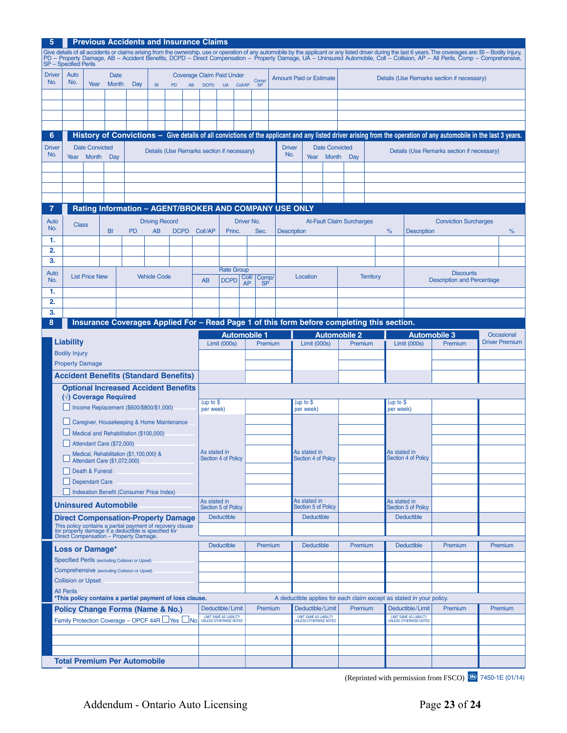| <b>Previous Accidents and Insurance Claims</b><br>5                                                                                                                                                                                                               |                                                                                            |                                       |                                |                                                                                                                                                             |                             |             |                                                        |                                                                                               |                      |         |         |                                |                                                                                          |                  |                                            |   |                                                                      |                                                                                                                                                                   |  |                       |
|-------------------------------------------------------------------------------------------------------------------------------------------------------------------------------------------------------------------------------------------------------------------|--------------------------------------------------------------------------------------------|---------------------------------------|--------------------------------|-------------------------------------------------------------------------------------------------------------------------------------------------------------|-----------------------------|-------------|--------------------------------------------------------|-----------------------------------------------------------------------------------------------|----------------------|---------|---------|--------------------------------|------------------------------------------------------------------------------------------|------------------|--------------------------------------------|---|----------------------------------------------------------------------|-------------------------------------------------------------------------------------------------------------------------------------------------------------------|--|-----------------------|
| Give details of all accidents or claims arising from the ownership, use or operation of any automobile by the applicant or any listed driver during the last 6 years. The coverages are: BI – Bodily Injury,<br>PD – Property Dam<br><b>SP</b> – Specified Perils |                                                                                            |                                       |                                |                                                                                                                                                             |                             |             |                                                        |                                                                                               |                      |         |         |                                |                                                                                          |                  |                                            |   |                                                                      |                                                                                                                                                                   |  |                       |
| <b>Driver</b><br>No.                                                                                                                                                                                                                                              | Auto<br>No.                                                                                | Year                                  | <b>Date</b><br>Month           | Day                                                                                                                                                         | BI                          | PD          | AB                                                     | <b>Coverage Claim Paid Under</b><br>Comp/<br><b>DCPD</b><br><b>UA</b><br>Coll/AP<br><b>SP</b> |                      |         |         | <b>Amount Paid or Estimate</b> |                                                                                          |                  | Details (Use Remarks section if necessary) |   |                                                                      |                                                                                                                                                                   |  |                       |
|                                                                                                                                                                                                                                                                   |                                                                                            |                                       |                                |                                                                                                                                                             |                             |             |                                                        |                                                                                               |                      |         |         |                                |                                                                                          |                  |                                            |   |                                                                      |                                                                                                                                                                   |  |                       |
|                                                                                                                                                                                                                                                                   |                                                                                            |                                       |                                |                                                                                                                                                             |                             |             |                                                        |                                                                                               |                      |         |         |                                |                                                                                          |                  |                                            |   |                                                                      |                                                                                                                                                                   |  |                       |
|                                                                                                                                                                                                                                                                   |                                                                                            |                                       |                                |                                                                                                                                                             |                             |             |                                                        |                                                                                               |                      |         |         |                                |                                                                                          |                  |                                            |   |                                                                      |                                                                                                                                                                   |  |                       |
|                                                                                                                                                                                                                                                                   |                                                                                            |                                       |                                |                                                                                                                                                             |                             |             |                                                        |                                                                                               |                      |         |         |                                |                                                                                          |                  |                                            |   |                                                                      |                                                                                                                                                                   |  |                       |
| 6                                                                                                                                                                                                                                                                 |                                                                                            |                                       |                                |                                                                                                                                                             |                             |             |                                                        |                                                                                               |                      |         |         |                                |                                                                                          |                  |                                            |   |                                                                      | History of Convictions - Give details of all convictions of the applicant and any listed driver arising from the operation of any automobile in the last 3 years. |  |                       |
| <b>Driver</b><br>No.                                                                                                                                                                                                                                              | Year                                                                                       | <b>Date Convicted</b><br><b>Month</b> | Day                            |                                                                                                                                                             |                             |             | Details (Use Remarks section if necessary)             |                                                                                               |                      |         |         | <b>Driver</b><br>No.           | <b>Date Convicted</b><br>Details (Use Remarks section if necessary)<br>Year Month<br>Day |                  |                                            |   |                                                                      |                                                                                                                                                                   |  |                       |
|                                                                                                                                                                                                                                                                   |                                                                                            |                                       |                                |                                                                                                                                                             |                             |             |                                                        |                                                                                               |                      |         |         |                                |                                                                                          |                  |                                            |   |                                                                      |                                                                                                                                                                   |  |                       |
|                                                                                                                                                                                                                                                                   |                                                                                            |                                       |                                |                                                                                                                                                             |                             |             |                                                        |                                                                                               |                      |         |         |                                |                                                                                          |                  |                                            |   |                                                                      |                                                                                                                                                                   |  |                       |
|                                                                                                                                                                                                                                                                   |                                                                                            |                                       |                                |                                                                                                                                                             |                             |             |                                                        |                                                                                               |                      |         |         |                                |                                                                                          |                  |                                            |   |                                                                      |                                                                                                                                                                   |  |                       |
|                                                                                                                                                                                                                                                                   |                                                                                            |                                       |                                |                                                                                                                                                             |                             |             |                                                        |                                                                                               |                      |         |         |                                |                                                                                          |                  |                                            |   |                                                                      |                                                                                                                                                                   |  |                       |
| 7                                                                                                                                                                                                                                                                 |                                                                                            |                                       |                                |                                                                                                                                                             |                             |             | Rating Information - AGENT/BROKER AND COMPANY USE ONLY |                                                                                               |                      |         |         |                                |                                                                                          |                  |                                            |   |                                                                      |                                                                                                                                                                   |  |                       |
| Auto<br>No.                                                                                                                                                                                                                                                       | <b>Class</b>                                                                               |                                       | BI                             | <b>PD</b>                                                                                                                                                   | <b>Driving Record</b><br>AB | <b>DCPD</b> | Coll/AP                                                |                                                                                               | Driver No.<br>Princ. | Sec.    |         | <b>Description</b>             |                                                                                          |                  | <b>At-Fault Claim Surcharges</b>           | % | <b>Description</b>                                                   | <b>Conviction Surcharges</b>                                                                                                                                      |  | %                     |
| 1.                                                                                                                                                                                                                                                                |                                                                                            |                                       |                                |                                                                                                                                                             |                             |             |                                                        |                                                                                               |                      |         |         |                                |                                                                                          |                  |                                            |   |                                                                      |                                                                                                                                                                   |  |                       |
| 2.                                                                                                                                                                                                                                                                |                                                                                            |                                       |                                |                                                                                                                                                             |                             |             |                                                        |                                                                                               |                      |         |         |                                |                                                                                          |                  |                                            |   |                                                                      |                                                                                                                                                                   |  |                       |
| 3.                                                                                                                                                                                                                                                                |                                                                                            |                                       |                                |                                                                                                                                                             |                             |             |                                                        |                                                                                               |                      |         |         |                                |                                                                                          |                  |                                            |   |                                                                      |                                                                                                                                                                   |  |                       |
| Auto<br>No.                                                                                                                                                                                                                                                       | <b>List Price New</b><br><b>Vehicle Code</b>                                               |                                       |                                |                                                                                                                                                             |                             | <b>AB</b>   |                                                        | <b>Rate Group</b>                                                                             | Coll/ Comp/          |         |         | Location                       |                                                                                          | <b>Territory</b> |                                            |   | <b>Discounts</b><br><b>Description and Percentage</b>                |                                                                                                                                                                   |  |                       |
| 1.                                                                                                                                                                                                                                                                |                                                                                            |                                       |                                |                                                                                                                                                             |                             |             |                                                        | <b>DCPD</b><br><b>AP</b><br><b>SP</b>                                                         |                      |         |         |                                |                                                                                          |                  |                                            |   |                                                                      |                                                                                                                                                                   |  |                       |
| 2.                                                                                                                                                                                                                                                                |                                                                                            |                                       |                                |                                                                                                                                                             |                             |             |                                                        |                                                                                               |                      |         |         |                                |                                                                                          |                  |                                            |   |                                                                      |                                                                                                                                                                   |  |                       |
| 3.                                                                                                                                                                                                                                                                |                                                                                            |                                       |                                |                                                                                                                                                             |                             |             |                                                        |                                                                                               |                      |         |         |                                |                                                                                          |                  |                                            |   |                                                                      |                                                                                                                                                                   |  |                       |
| 8                                                                                                                                                                                                                                                                 | Insurance Coverages Applied For - Read Page 1 of this form before completing this section. |                                       |                                |                                                                                                                                                             |                             |             |                                                        |                                                                                               |                      |         |         |                                |                                                                                          |                  |                                            |   |                                                                      |                                                                                                                                                                   |  |                       |
|                                                                                                                                                                                                                                                                   |                                                                                            |                                       |                                |                                                                                                                                                             |                             |             |                                                        | <b>Automobile 1</b>                                                                           |                      |         |         |                                | <b>Automobile 2</b>                                                                      |                  |                                            |   | <b>Automobile 3</b>                                                  |                                                                                                                                                                   |  | Occasional            |
|                                                                                                                                                                                                                                                                   | Liability<br><b>Bodily Injury</b>                                                          |                                       |                                |                                                                                                                                                             |                             |             |                                                        | Limit (000s)                                                                                  |                      |         | Premium |                                | Limit (000s)                                                                             |                  | Premium                                    |   | Limit (000s)                                                         | Premium                                                                                                                                                           |  | <b>Driver Premium</b> |
|                                                                                                                                                                                                                                                                   | <b>Property Damage</b>                                                                     |                                       |                                |                                                                                                                                                             |                             |             |                                                        |                                                                                               |                      |         |         |                                |                                                                                          |                  |                                            |   |                                                                      |                                                                                                                                                                   |  |                       |
|                                                                                                                                                                                                                                                                   |                                                                                            |                                       |                                | <b>Accident Benefits (Standard Benefits)</b>                                                                                                                |                             |             |                                                        |                                                                                               |                      |         |         |                                |                                                                                          |                  |                                            |   |                                                                      |                                                                                                                                                                   |  |                       |
|                                                                                                                                                                                                                                                                   |                                                                                            |                                       |                                | <b>Optional Increased Accident Benefits</b>                                                                                                                 |                             |             |                                                        |                                                                                               |                      |         |         |                                |                                                                                          |                  |                                            |   |                                                                      |                                                                                                                                                                   |  |                       |
|                                                                                                                                                                                                                                                                   |                                                                                            |                                       | $(\sqrt{2})$ Coverage Required |                                                                                                                                                             |                             |             |                                                        |                                                                                               |                      |         |         |                                | (up to \$                                                                                |                  |                                            |   | (up to $$$                                                           |                                                                                                                                                                   |  |                       |
|                                                                                                                                                                                                                                                                   |                                                                                            |                                       |                                | Income Replacement (\$600/\$800/\$1,000)                                                                                                                    |                             |             |                                                        | (up to $$$<br>per week)                                                                       |                      |         |         |                                | per week)                                                                                |                  |                                            |   | per week)                                                            |                                                                                                                                                                   |  |                       |
|                                                                                                                                                                                                                                                                   |                                                                                            |                                       |                                | Caregiver, Housekeeping & Home Maintenance                                                                                                                  |                             |             |                                                        |                                                                                               |                      |         |         |                                |                                                                                          |                  |                                            |   |                                                                      |                                                                                                                                                                   |  |                       |
|                                                                                                                                                                                                                                                                   |                                                                                            |                                       |                                | $\Box$ Medical and Rehabilitation (\$100,000)                                                                                                               |                             |             |                                                        |                                                                                               |                      |         |         |                                |                                                                                          |                  |                                            |   |                                                                      |                                                                                                                                                                   |  |                       |
|                                                                                                                                                                                                                                                                   |                                                                                            |                                       | Attendant Care $(\$72,000)$    |                                                                                                                                                             |                             |             |                                                        | As stated in                                                                                  |                      |         |         |                                | As stated in                                                                             |                  |                                            |   | As stated in                                                         |                                                                                                                                                                   |  |                       |
|                                                                                                                                                                                                                                                                   |                                                                                            |                                       | Attendant Care (\$1,072,000)   | Medical, Rehabilitation (\$1,100,000) &                                                                                                                     |                             |             |                                                        | Section 4 of Policy                                                                           |                      |         |         |                                | Section 4 of Policy                                                                      |                  |                                            |   | Section 4 of Policy                                                  |                                                                                                                                                                   |  |                       |
|                                                                                                                                                                                                                                                                   |                                                                                            | Death & Funeral                       |                                |                                                                                                                                                             |                             |             |                                                        |                                                                                               |                      |         |         |                                |                                                                                          |                  |                                            |   |                                                                      |                                                                                                                                                                   |  |                       |
|                                                                                                                                                                                                                                                                   |                                                                                            | Dependant Care                        |                                |                                                                                                                                                             |                             |             |                                                        |                                                                                               |                      |         |         |                                |                                                                                          |                  |                                            |   |                                                                      |                                                                                                                                                                   |  |                       |
|                                                                                                                                                                                                                                                                   |                                                                                            |                                       |                                | Indexation Benefit (Consumer Price Index)                                                                                                                   |                             |             |                                                        | As stated in                                                                                  |                      |         |         |                                | As stated in                                                                             |                  |                                            |   |                                                                      |                                                                                                                                                                   |  |                       |
|                                                                                                                                                                                                                                                                   |                                                                                            |                                       | <b>Uninsured Automobile</b>    |                                                                                                                                                             |                             |             |                                                        | Section 5 of Policy                                                                           |                      |         |         |                                | Section 5 of Policy                                                                      |                  |                                            |   | As stated in<br><b>Section 5 of Policy</b>                           |                                                                                                                                                                   |  |                       |
|                                                                                                                                                                                                                                                                   |                                                                                            |                                       |                                | <b>Direct Compensation-Property Damage</b>                                                                                                                  |                             |             |                                                        | <b>Deductible</b>                                                                             |                      |         |         |                                | <b>Deductible</b>                                                                        |                  |                                            |   | <b>Deductible</b>                                                    |                                                                                                                                                                   |  |                       |
|                                                                                                                                                                                                                                                                   |                                                                                            |                                       |                                | This policy contains a partial payment of recovery clause<br>for property damage if a deductible is specified for<br>Direct Compensation – Property Damage. |                             |             |                                                        |                                                                                               |                      |         |         |                                |                                                                                          |                  |                                            |   |                                                                      |                                                                                                                                                                   |  |                       |
|                                                                                                                                                                                                                                                                   | Loss or Damage*                                                                            |                                       |                                |                                                                                                                                                             |                             |             |                                                        | <b>Deductible</b>                                                                             |                      |         | Premium |                                | <b>Deductible</b>                                                                        |                  | Premium                                    |   | <b>Deductible</b>                                                    | Premium                                                                                                                                                           |  | Premium               |
|                                                                                                                                                                                                                                                                   |                                                                                            |                                       |                                | Specified Perils (excluding Collision or Upset)                                                                                                             |                             |             |                                                        |                                                                                               |                      |         |         |                                |                                                                                          |                  |                                            |   |                                                                      |                                                                                                                                                                   |  |                       |
|                                                                                                                                                                                                                                                                   |                                                                                            |                                       |                                | Comprehensive (excluding Collision or Upset)                                                                                                                |                             |             |                                                        |                                                                                               |                      |         |         |                                |                                                                                          |                  |                                            |   |                                                                      |                                                                                                                                                                   |  |                       |
|                                                                                                                                                                                                                                                                   | <b>Collision or Upset</b>                                                                  |                                       |                                |                                                                                                                                                             |                             |             |                                                        |                                                                                               |                      |         |         |                                |                                                                                          |                  |                                            |   |                                                                      |                                                                                                                                                                   |  |                       |
|                                                                                                                                                                                                                                                                   | <b>All Perils</b>                                                                          |                                       |                                | *This policy contains a partial payment of loss clause.                                                                                                     |                             |             |                                                        |                                                                                               |                      |         |         |                                |                                                                                          |                  |                                            |   | A deductible applies for each claim except as stated in your policy. |                                                                                                                                                                   |  |                       |
|                                                                                                                                                                                                                                                                   |                                                                                            |                                       |                                | <b>Policy Change Forms (Name &amp; No.)</b>                                                                                                                 |                             |             |                                                        | Deductible/Limit                                                                              |                      | Premium |         |                                | Deductible/Limit                                                                         |                  | Premium                                    |   | Deductible/Limit                                                     | Premium                                                                                                                                                           |  | Premium               |
|                                                                                                                                                                                                                                                                   |                                                                                            |                                       |                                | Family Protection Coverage - OPCF 44R Ves No                                                                                                                |                             |             |                                                        | LIMIT SAME AS LIABILITY<br>UNLESS OTHERWISE NOTED                                             |                      |         |         |                                | <b>LIMIT SAME AS LIABILITY</b><br>UNLESS OTHERWISE NOTED                                 |                  |                                            |   | <b>LIMIT SAME AS LIABILITY</b><br><b>UNLESS OTHERWISE NOTED</b>      |                                                                                                                                                                   |  |                       |
|                                                                                                                                                                                                                                                                   |                                                                                            |                                       |                                |                                                                                                                                                             |                             |             |                                                        |                                                                                               |                      |         |         |                                |                                                                                          |                  |                                            |   |                                                                      |                                                                                                                                                                   |  |                       |
|                                                                                                                                                                                                                                                                   |                                                                                            |                                       |                                |                                                                                                                                                             |                             |             |                                                        |                                                                                               |                      |         |         |                                |                                                                                          |                  |                                            |   |                                                                      |                                                                                                                                                                   |  |                       |
|                                                                                                                                                                                                                                                                   |                                                                                            |                                       |                                |                                                                                                                                                             |                             |             |                                                        |                                                                                               |                      |         |         |                                |                                                                                          |                  |                                            |   |                                                                      |                                                                                                                                                                   |  |                       |
|                                                                                                                                                                                                                                                                   |                                                                                            |                                       |                                | <b>Total Premium Per Automobile</b>                                                                                                                         |                             |             |                                                        |                                                                                               |                      |         |         |                                |                                                                                          |                  |                                            |   |                                                                      |                                                                                                                                                                   |  |                       |

**<sup>(</sup>Reprinted with permission from FSCO) 6** 7450-1E (01/14)